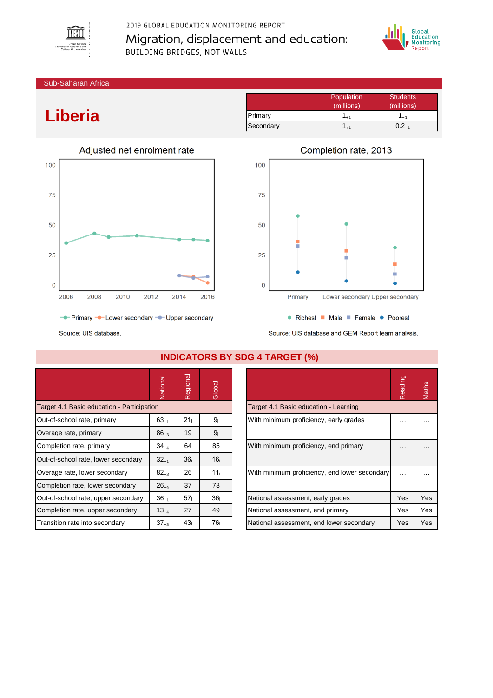

## 2019 GLOBAL EDUCATION MONITORING REPORT Migration, displacement and education: **BUILDING BRIDGES, NOT WALLS**



Sub-Saharan Africa

# **Liberia**



Population Students<br>
(millions) (millions) (millions) (millions) Primary 1<sub>+1</sub> 1<sub>-1</sub> Secondary  $1_{+1}$  0.2 $_{-1}$ 



Source: UIS database and GEM Report team analysis.

|                                            | Vational  | gional<br>$\Phi$<br>$\sim$ | Global          |                                               | Reading  | Maths    |
|--------------------------------------------|-----------|----------------------------|-----------------|-----------------------------------------------|----------|----------|
| Target 4.1 Basic education - Participation |           |                            |                 | Target 4.1 Basic education - Learning         |          |          |
| Out-of-school rate, primary                | $63_{-1}$ | 21 <sub>i</sub>            | 9ì              | With minimum proficiency, early grades        | $\cdots$ | .        |
| Overage rate, primary                      | $86_{-3}$ | 19                         | 9 <sub>i</sub>  |                                               |          |          |
| Completion rate, primary                   | $34_{-4}$ | 64                         | 85              | With minimum proficiency, end primary         | $\cdots$ | $\cdots$ |
| Out-of-school rate, lower secondary        | $32_{-1}$ | 36 <sub>i</sub>            | 16 <sub>i</sub> |                                               |          |          |
| Overage rate, lower secondary              | $82_{-3}$ | 26                         | 11 <sub>i</sub> | With minimum proficiency, end lower secondary | $\cdots$ |          |
| Completion rate, lower secondary           | $26_{-4}$ | 37                         | 73              |                                               |          |          |
| Out-of-school rate, upper secondary        | $36_{-1}$ | 57 <sub>i</sub>            | 36 <sub>i</sub> | National assessment, early grades             | Yes      | Yes      |
| Completion rate, upper secondary           | $13_{-4}$ | 27                         | 49              | National assessment, end primary              | Yes      | Yes      |
| Transition rate into secondary             | $37_{-3}$ | 43 <sub>i</sub>            | 76 i            | National assessment, end lower secondary      | Yes      | Yes      |

### **INDICATORS BY SDG 4 TARGET (%)**

|                                               | Readind |     |
|-----------------------------------------------|---------|-----|
| Target 4.1 Basic education - Learning         |         |     |
| With minimum proficiency, early grades        |         |     |
| With minimum proficiency, end primary         |         |     |
| With minimum proficiency, end lower secondary |         |     |
| National assessment, early grades             | Yes     | Yes |
| National assessment, end primary              | Yes     | Yes |
| National assessment, end lower secondary      | Yes     | Yes |